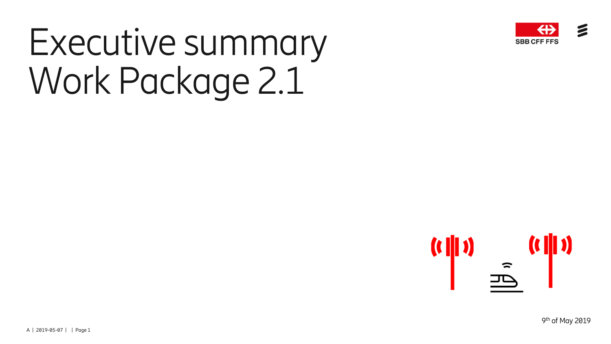

# Executive summary Work Package 2.1

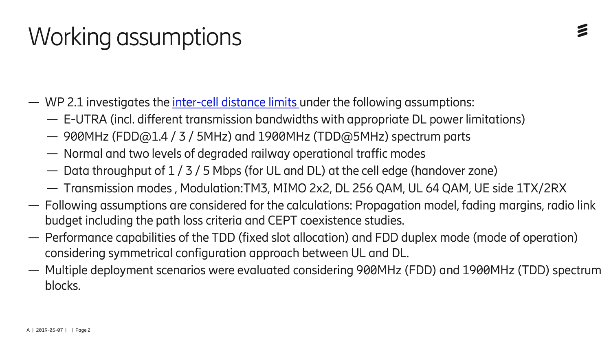# Working assumptions

- WP 2.1 investigates the *inter-cell distance limits* under the following assumptions:
	- E-UTRA (incl. different transmission bandwidths with appropriate DL power limitations)
	- 900MHz (FDD@1.4 / 3 / 5MHz) and 1900MHz (TDD@5MHz) spectrum parts
	- Normal and two levels of degraded railway operational traffic modes
	- Data throughput of 1 / 3 / 5 Mbps (for UL and DL) at the cell edge (handover zone)
	- Transmission modes , Modulation:TM3, MIMO 2x2, DL 256 QAM, UL 64 QAM, UE side 1TX/2RX
- Following assumptions are considered for the calculations: Propagation model, fading margins, radio link budget including the path loss criteria and CEPT coexistence studies.
- Performance capabilities of the TDD (fixed slot allocation) and FDD duplex mode (mode of operation) considering symmetrical configuration approach between UL and DL.
- Multiple deployment scenarios were evaluated considering 900MHz (FDD) and 1900MHz (TDD) spectrum blocks.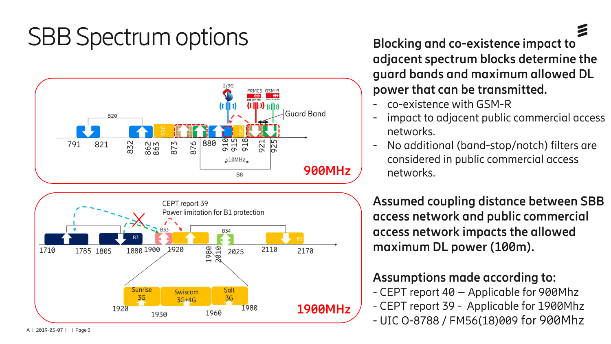#### SBB Spectrum options **Blocking and co-existence impact to**





**adjacent spectrum blocks determine the guard bands and maximum allowed DL power that can be transmitted.**

- co-existence with GSM-R
- impact to adjacent public commercial access networks.
- No additional (band-stop/notch) filters are considered in public commercial access networks.

**Assumed coupling distance between SBB access network and public commercial access network impacts the allowed maximum DL power (100m).**

#### **Assumptions made according to:**

- CEPT report 40 – Applicable for 900Mhz - CEPT report 39 - Applicable for 1900Mhz - UIC O-8788 / FM56(18)009 for 900Mhz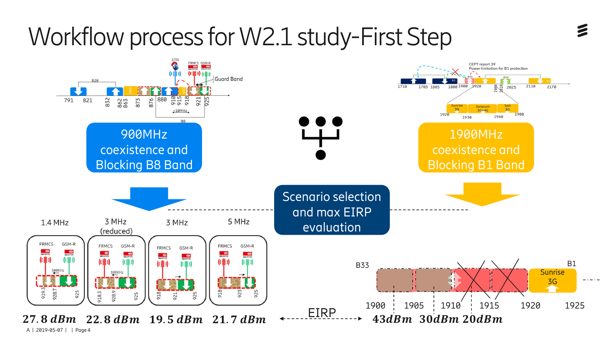# Workflow process for W2.1 study-First Step

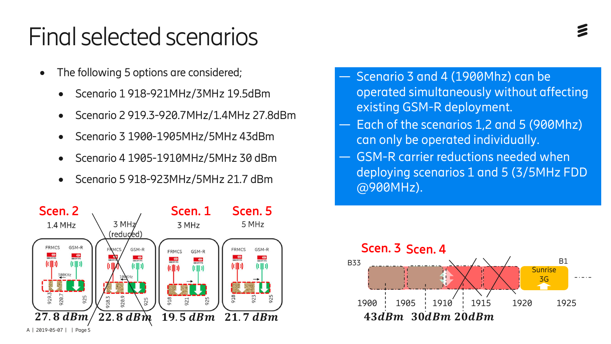#### Final selected scenarios

- The following 5 options are considered;
	- Scenario 1 918-921MHz/3MHz 19.5dBm
	- · Scenario 2 919.3-920.7MHz/1.4MHz 27.8dBm
	- · Scenario 3 1900-1905MHz/5MHz 43dBm
	- · Scenario 4 1905-1910MHz/5MHz 30 dBm
	- · Scenario 5 918-923MHz/5MHz 21.7 dBm



- Scenario 3 and 4 (1900Mhz) can be operated simultaneously without affecting existing GSM-R deployment.
- Each of the scenarios 1,2 and 5 (900Mhz) can only be operated individually.
- GSM-R carrier reductions needed when deploying scenarios 1 and 5 (3/5MHz FDD @900MHz).

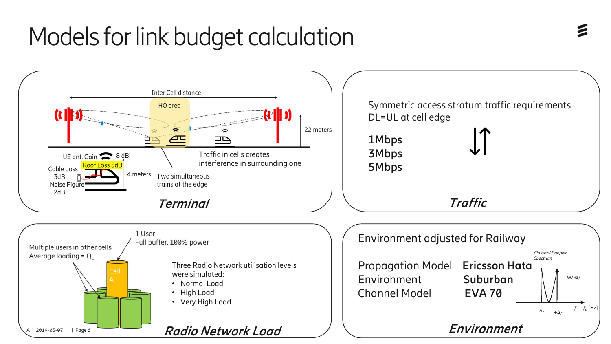### Models for link budget calculation

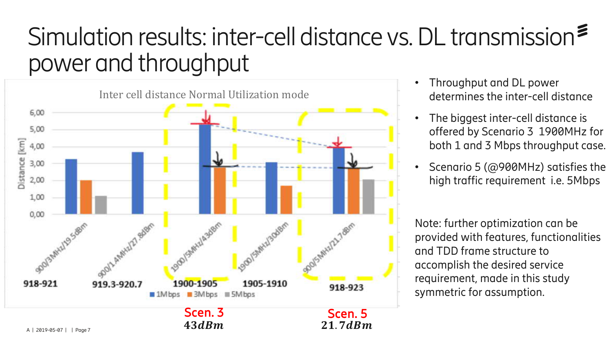#### Simulation results: inter-cell distance vs. DL transmission power and throughput



- Throughput and DL power determines the inter-cell distance
- The biggest inter-cell distance is offered by Scenario 3 1900MHz for both 1 and 3 Mbps throughput case.
- Scenario 5 (@900MHz) satisfies the high traffic requirement i.e. 5Mbps

Note: further optimization can be provided with features, functionalities and TDD frame structure to accomplish the desired service requirement, made in this study symmetric for assumption.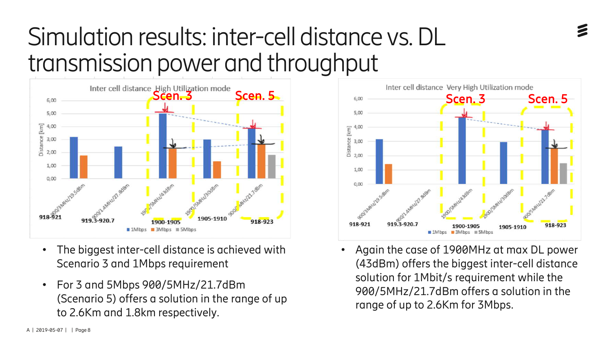### Simulation results: inter-cell distance vs. DL transmission power and throughput



- The biggest inter-cell distance is achieved with Scenario 3 and 1Mbps requirement
- For 3 and 5Mbps 900/5MHz/21.7dBm (Scenario 5) offers a solution in the range of up to 2.6Km and 1.8km respectively.



• Again the case of 1900MHz at max DL power (43dBm) offers the biggest inter-cell distance solution for 1Mbit/s requirement while the 900/5MHz/21.7dBm offers a solution in the range of up to 2.6Km for 3Mbps.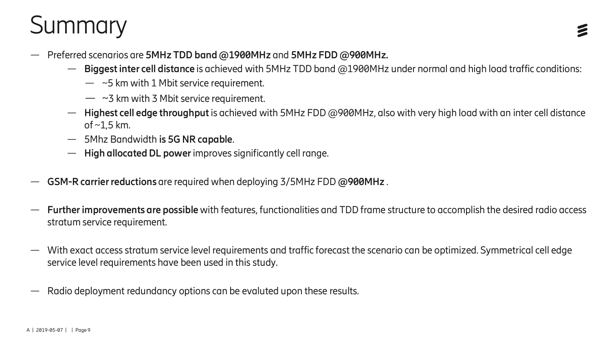# **Summary**

- Preferred scenarios are **5MHz TDD band @1900MHz** and **5MHz FDD @900MHz.**
	- **Biggest inter cell distance** is achieved with 5MHz TDD band @1900MHz under normal and high load traffic conditions:
		- $-$  ~5 km with 1 Mbit service requirement.
		- $-$  ~3 km with 3 Mbit service requirement.
	- **Highest cell edge throughput**is achieved with 5MHz FDD @900MHz, also with very high load with an inter cell distance of  $\sim$ 1,5 km.
	- 5Mhz Bandwidth **is 5G NR capable**.
	- **High allocated DL power**improves significantly cell range.
- **GSM-R carrier reductions** are required when deploying 3/5MHz FDD **@900MHz** .
- **Further improvements are possible**with features, functionalities and TDD frame structure to accomplish the desired radio access stratum service requirement.
- With exact access stratum service level requirements and traffic forecast the scenario can be optimized. Symmetrical cell edge service level requirements have been used in this study.
- Radio deployment redundancy options can be evaluted upon these results.